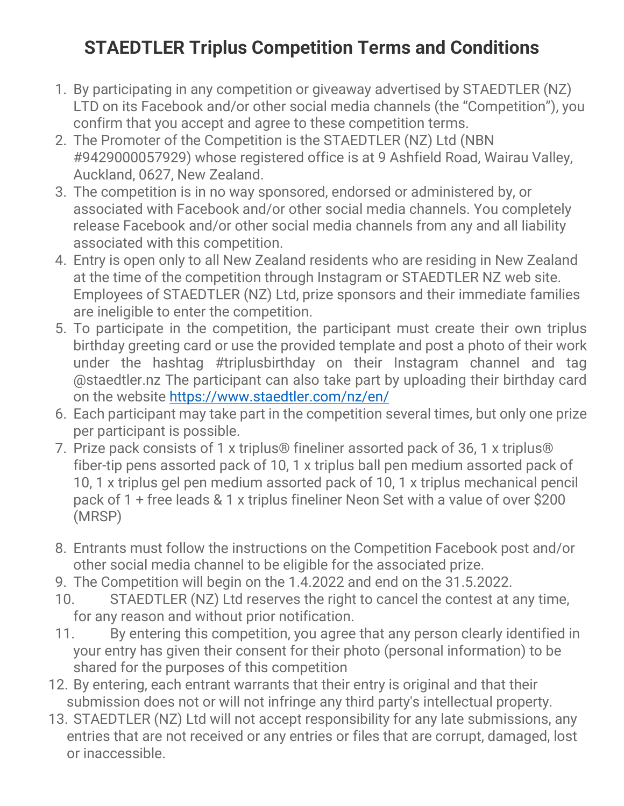## **STAEDTLER Triplus Competition Terms and Conditions**

- 1. By participating in any competition or giveaway advertised by STAEDTLER (NZ) LTD on its Facebook and/or other social media channels (the "Competition"), you confirm that you accept and agree to these competition terms.
- 2. The Promoter of the Competition is the STAEDTLER (NZ) Ltd (NBN #9429000057929) whose registered office is at 9 Ashfield Road, Wairau Valley, Auckland, 0627, New Zealand.
- 3. The competition is in no way sponsored, endorsed or administered by, or associated with Facebook and/or other social media channels. You completely release Facebook and/or other social media channels from any and all liability associated with this competition.
- 4. Entry is open only to all New Zealand residents who are residing in New Zealand at the time of the competition through Instagram or STAEDTLER NZ web site. Employees of STAEDTLER (NZ) Ltd, prize sponsors and their immediate families are ineligible to enter the competition.
- 5. To participate in the competition, the participant must create their own triplus birthday greeting card or use the provided template and post a photo of their work under the hashtag #triplusbirthday on their Instagram channel and tag @staedtler.nz The participant can also take part by uploading their birthday card on the website<https://www.staedtler.com/nz/en/>
- 6. Each participant may take part in the competition several times, but only one prize per participant is possible.
- 7. Prize pack consists of 1 x triplus® fineliner assorted pack of 36, 1 x triplus® fiber-tip pens assorted pack of 10, 1 x triplus ball pen medium assorted pack of 10, 1 x triplus gel pen medium assorted pack of 10, 1 x triplus mechanical pencil pack of 1 + free leads & 1 x triplus fineliner Neon Set with a value of over \$200 (MRSP)
- 8. Entrants must follow the instructions on the Competition Facebook post and/or other social media channel to be eligible for the associated prize.
- 9. The Competition will begin on the 1.4.2022 and end on the 31.5.2022.
- 10. STAEDTLER (NZ) Ltd reserves the right to cancel the contest at any time, for any reason and without prior notification.
- 11. By entering this competition, you agree that any person clearly identified in your entry has given their consent for their photo (personal information) to be shared for the purposes of this competition
- 12. By entering, each entrant warrants that their entry is original and that their submission does not or will not infringe any third party's intellectual property.
- 13. STAEDTLER (NZ) Ltd will not accept responsibility for any late submissions, any entries that are not received or any entries or files that are corrupt, damaged, lost or inaccessible.